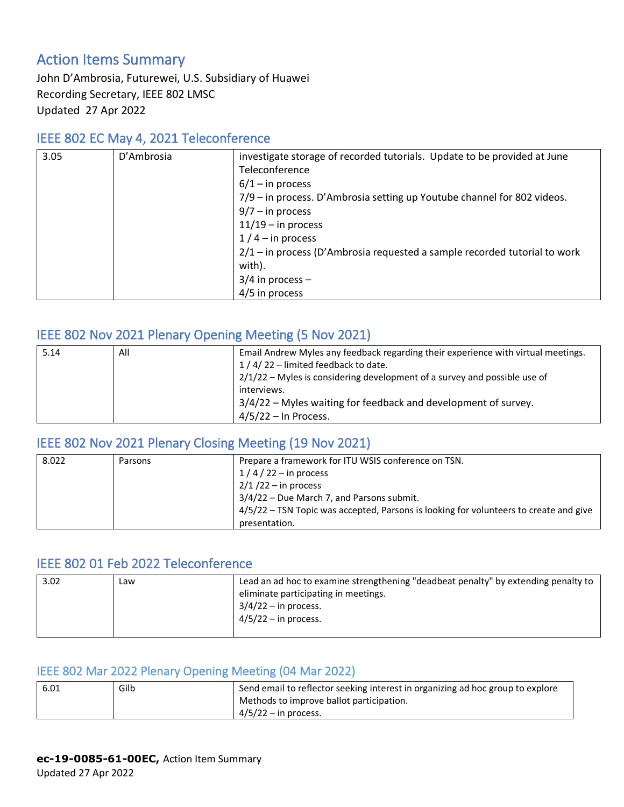## Action Items Summary

John D'Ambrosia, Futurewei, U.S. Subsidiary of Huawei Recording Secretary, IEEE 802 LMSC Updated 27 Apr 2022

### IEEE 802 EC May 4, 2021 Teleconference

| 3.05 | D'Ambrosia | investigate storage of recorded tutorials. Update to be provided at June    |
|------|------------|-----------------------------------------------------------------------------|
|      |            | Teleconference                                                              |
|      |            | $6/1 -$ in process                                                          |
|      |            | 7/9 – in process. D'Ambrosia setting up Youtube channel for 802 videos.     |
|      |            | $9/7 - in process$                                                          |
|      |            | $11/19$ – in process                                                        |
|      |            | $1/4$ – in process                                                          |
|      |            | $2/1$ – in process (D'Ambrosia requested a sample recorded tutorial to work |
|      |            | with).                                                                      |
|      |            | $3/4$ in process –                                                          |
|      |            | 4/5 in process                                                              |

## IEEE 802 Nov 2021 Plenary Opening Meeting (5 Nov 2021)

| 5.14 | All | Email Andrew Myles any feedback regarding their experience with virtual meetings. |
|------|-----|-----------------------------------------------------------------------------------|
|      |     | 1/4/22 - limited feedback to date.                                                |
|      |     | $2/1/22$ – Myles is considering development of a survey and possible use of       |
|      |     | interviews.                                                                       |
|      |     | 3/4/22 – Myles waiting for feedback and development of survey.                    |
|      |     | $4/5/22$ – In Process.                                                            |

#### IEEE 802 Nov 2021 Plenary Closing Meeting (19 Nov 2021)

| 8.022 | Parsons | Prepare a framework for ITU WSIS conference on TSN.                                   |
|-------|---------|---------------------------------------------------------------------------------------|
|       |         | $1/4/22$ – in process                                                                 |
|       |         | $2/1/22 -$ in process                                                                 |
|       |         | $3/4/22$ – Due March 7, and Parsons submit.                                           |
|       |         | 4/5/22 - TSN Topic was accepted, Parsons is looking for volunteers to create and give |
|       |         | presentation.                                                                         |

## IEEE 802 01 Feb 2022 Teleconference

| 3.02 | ∟aw | Lead an ad hoc to examine strengthening "deadbeat penalty" by extending penalty to<br>eliminate participating in meetings.<br>$3/4/22 -$ in process. |
|------|-----|------------------------------------------------------------------------------------------------------------------------------------------------------|
|      |     | $4/5/22 - in$ process.                                                                                                                               |

#### IEEE 802 Mar 2022 Plenary Opening Meeting (04 Mar 2022)

| 6.01 | Gilb | Send email to reflector seeking interest in organizing ad hoc group to explore |
|------|------|--------------------------------------------------------------------------------|
|      |      | Methods to improve ballot participation.                                       |
|      |      | $4/5/22 - in$ process.                                                         |